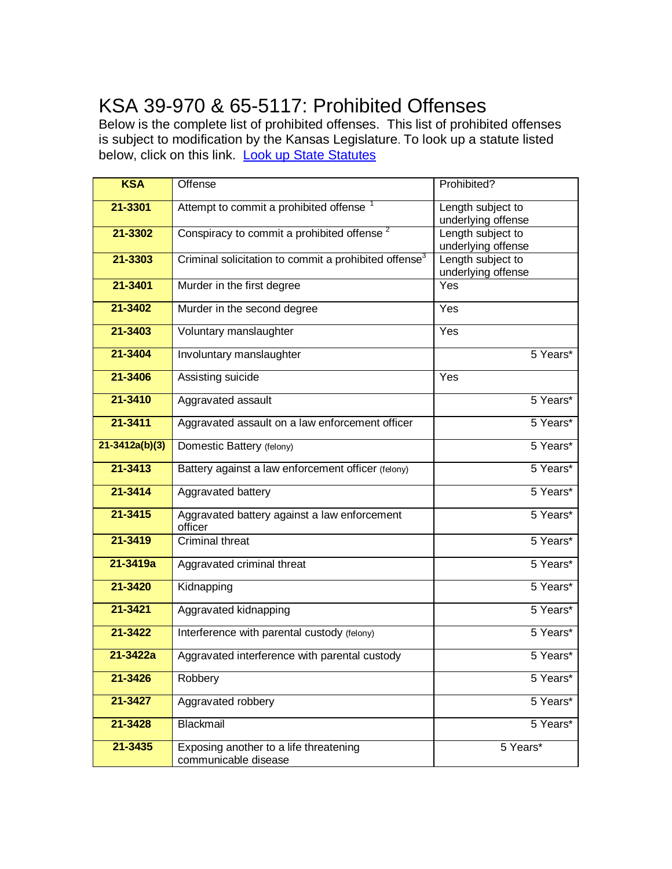## KSA 39-970 & 65-5117: Prohibited Offenses

Below is the complete list of prohibited offenses. This list of prohibited offenses is subject to modification by the Kansas Legislature. To look up a statute listed below, click on this link. Look up State Statutes

| <b>KSA</b>         | Offense                                                           | Prohibited?                             |
|--------------------|-------------------------------------------------------------------|-----------------------------------------|
| 21-3301            | Attempt to commit a prohibited offense                            | Length subject to<br>underlying offense |
| 21-3302            | Conspiracy to commit a prohibited offense <sup>2</sup>            | Length subject to<br>underlying offense |
| 21-3303            | Criminal solicitation to commit a prohibited offense <sup>3</sup> | Length subject to<br>underlying offense |
| 21-3401            | Murder in the first degree                                        | Yes                                     |
| 21-3402            | Murder in the second degree                                       | Yes                                     |
| 21-3403            | Voluntary manslaughter                                            | Yes                                     |
| 21-3404            | Involuntary manslaughter                                          | 5 Years*                                |
| 21-3406            | Assisting suicide                                                 | Yes                                     |
| 21-3410            | Aggravated assault                                                | 5 Years*                                |
| 21-3411            | Aggravated assault on a law enforcement officer                   | 5 Years*                                |
| $21 - 3412a(b)(3)$ | Domestic Battery (felony)                                         | 5 Years*                                |
| 21-3413            | Battery against a law enforcement officer (felony)                | 5 Years*                                |
| 21-3414            | Aggravated battery                                                | 5 Years*                                |
| 21-3415            | Aggravated battery against a law enforcement<br>officer           | 5 Years*                                |
| 21-3419            | <b>Criminal threat</b>                                            | 5 Years*                                |
| 21-3419a           | Aggravated criminal threat                                        | 5 Years*                                |
| 21-3420            | Kidnapping                                                        | 5 Years*                                |
| 21-3421            | Aggravated kidnapping                                             | 5 Years*                                |
| 21-3422            | Interference with parental custody (felony)                       | 5 Years*                                |
| $21 - 3422a$       | Aggravated interference with parental custody                     | 5 Years*                                |
| 21-3426            | Robbery                                                           | 5 Years*                                |
| 21-3427            | Aggravated robbery                                                | 5 Years*                                |
| 21-3428            | Blackmail                                                         | 5 Years*                                |
| 21-3435            | Exposing another to a life threatening<br>communicable disease    | 5 Years*                                |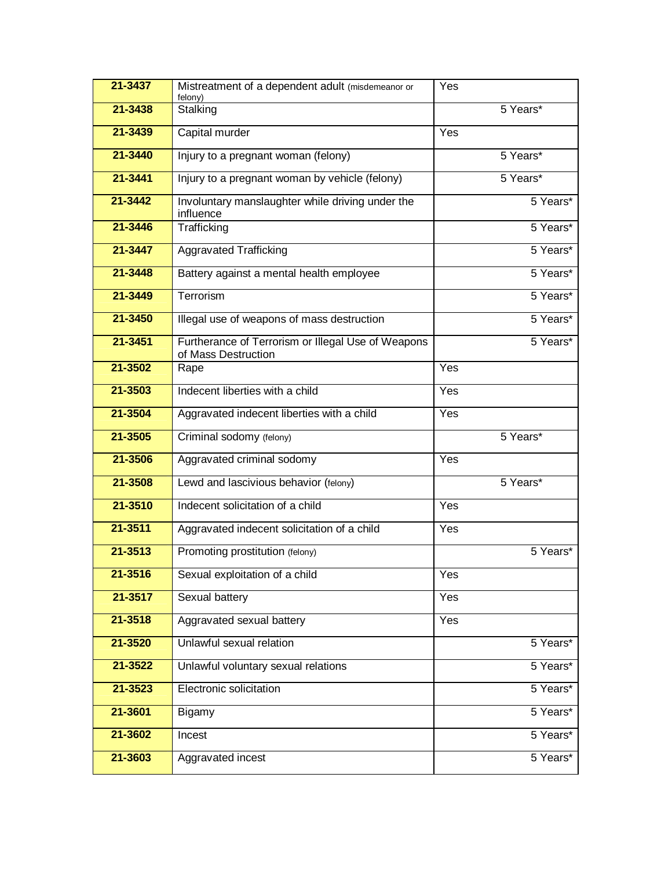| 21-3437     | Mistreatment of a dependent adult (misdemeanor or<br>felony)              | Yes              |          |
|-------------|---------------------------------------------------------------------------|------------------|----------|
| 21-3438     | Stalking                                                                  |                  | 5 Years* |
| 21-3439     | Capital murder                                                            | Yes              |          |
| 21-3440     | Injury to a pregnant woman (felony)                                       |                  | 5 Years* |
| 21-3441     | Injury to a pregnant woman by vehicle (felony)                            |                  | 5 Years* |
| 21-3442     | Involuntary manslaughter while driving under the<br>influence             |                  | 5 Years* |
| 21-3446     | Trafficking                                                               |                  | 5 Years* |
| 21-3447     | Aggravated Trafficking                                                    |                  | 5 Years* |
| 21-3448     | Battery against a mental health employee                                  |                  | 5 Years* |
| 21-3449     | Terrorism                                                                 |                  | 5 Years* |
| 21-3450     | Illegal use of weapons of mass destruction                                |                  | 5 Years* |
| 21-3451     | Furtherance of Terrorism or Illegal Use of Weapons<br>of Mass Destruction |                  | 5 Years* |
| 21-3502     | Rape                                                                      | $\overline{Yes}$ |          |
| 21-3503     | Indecent liberties with a child                                           | Yes              |          |
| 21-3504     | Aggravated indecent liberties with a child                                | $\overline{Yes}$ |          |
|             |                                                                           |                  |          |
| 21-3505     | Criminal sodomy (felony)                                                  |                  | 5 Years* |
| 21-3506     | Aggravated criminal sodomy                                                | Yes              |          |
| 21-3508     | Lewd and lascivious behavior (felony)                                     |                  | 5 Years* |
| 21-3510     | Indecent solicitation of a child                                          | Yes              |          |
| $21 - 3511$ | Aggravated indecent solicitation of a child                               | Yes              |          |
| 21-3513     | Promoting prostitution (felony)                                           |                  | 5 Years* |
| 21-3516     | Sexual exploitation of a child                                            | Yes              |          |
| 21-3517     | Sexual battery                                                            | Yes              |          |
| 21-3518     | Aggravated sexual battery                                                 | Yes              |          |
| 21-3520     | Unlawful sexual relation                                                  |                  | 5 Years* |
| 21-3522     | Unlawful voluntary sexual relations                                       |                  | 5 Years* |
| 21-3523     | Electronic solicitation                                                   |                  | 5 Years* |
| 21-3601     | Bigamy                                                                    |                  | 5 Years* |
| 21-3602     | Incest                                                                    |                  | 5 Years* |